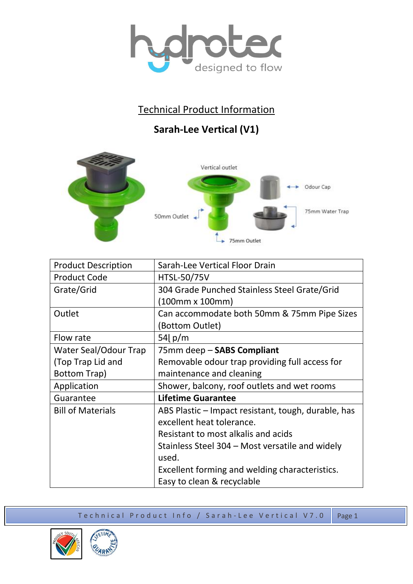

## Technical Product Information

## **Sarah-Lee Vertical (V1)**



| <b>Product Description</b> | Sarah-Lee Vertical Floor Drain                      |
|----------------------------|-----------------------------------------------------|
| <b>Product Code</b>        | <b>HTSL-50/75V</b>                                  |
| Grate/Grid                 | 304 Grade Punched Stainless Steel Grate/Grid        |
|                            | (100mm x 100mm)                                     |
| Outlet                     | Can accommodate both 50mm & 75mm Pipe Sizes         |
|                            | (Bottom Outlet)                                     |
| Flow rate                  | 54 $\lfloor p/m \rfloor$                            |
| Water Seal/Odour Trap      | 75mm deep - SABS Compliant                          |
| (Top Trap Lid and          | Removable odour trap providing full access for      |
| Bottom Trap)               | maintenance and cleaning                            |
| Application                | Shower, balcony, roof outlets and wet rooms         |
| Guarantee                  | <b>Lifetime Guarantee</b>                           |
| <b>Bill of Materials</b>   | ABS Plastic – Impact resistant, tough, durable, has |
|                            | excellent heat tolerance.                           |
|                            | Resistant to most alkalis and acids                 |
|                            | Stainless Steel 304 – Most versatile and widely     |
|                            | used.                                               |
|                            | Excellent forming and welding characteristics.      |
|                            | Easy to clean & recyclable                          |